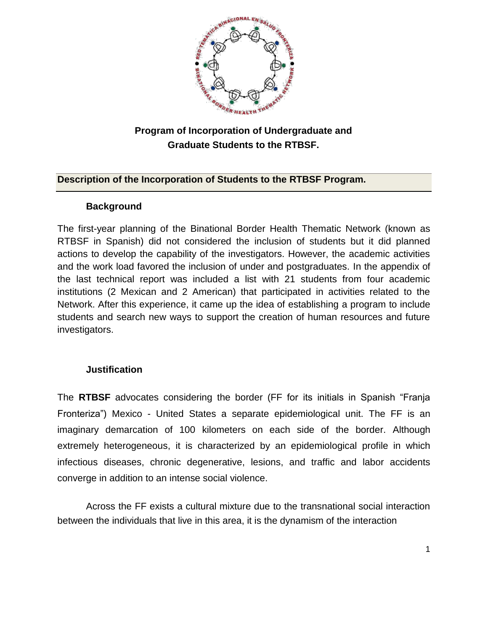

# **Program of Incorporation of Undergraduate and Graduate Students to the RTBSF.**

# **Description of the Incorporation of Students to the RTBSF Program.**

# **Background**

The first-year planning of the Binational Border Health Thematic Network (known as RTBSF in Spanish) did not considered the inclusion of students but it did planned actions to develop the capability of the investigators. However, the academic activities and the work load favored the inclusion of under and postgraduates. In the appendix of the last technical report was included a list with 21 students from four academic institutions (2 Mexican and 2 American) that participated in activities related to the Network. After this experience, it came up the idea of establishing a program to include students and search new ways to support the creation of human resources and future investigators.

# **Justification**

The **RTBSF** advocates considering the border (FF for its initials in Spanish "Franja Fronteriza") Mexico - United States a separate epidemiological unit. The FF is an imaginary demarcation of 100 kilometers on each side of the border. Although extremely heterogeneous, it is characterized by an epidemiological profile in which infectious diseases, chronic degenerative, lesions, and traffic and labor accidents converge in addition to an intense social violence.

Across the FF exists a cultural mixture due to the transnational social interaction between the individuals that live in this area, it is the dynamism of the interaction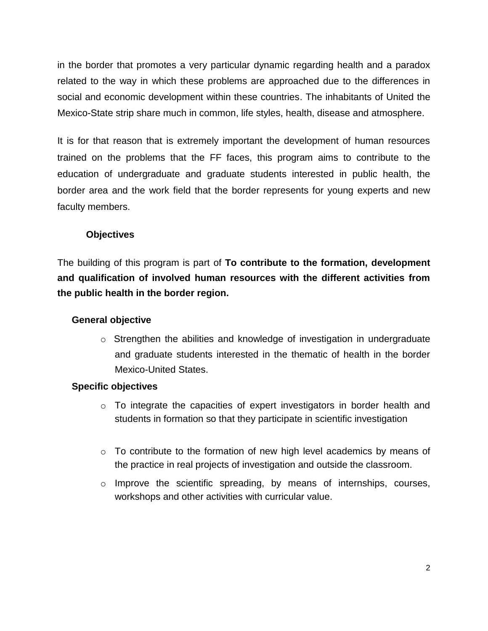in the border that promotes a very particular dynamic regarding health and a paradox related to the way in which these problems are approached due to the differences in social and economic development within these countries. The inhabitants of United the Mexico-State strip share much in common, life styles, health, disease and atmosphere.

It is for that reason that is extremely important the development of human resources trained on the problems that the FF faces, this program aims to contribute to the education of undergraduate and graduate students interested in public health, the border area and the work field that the border represents for young experts and new faculty members.

### **Objectives**

The building of this program is part of **To contribute to the formation, development and qualification of involved human resources with the different activities from the public health in the border region.**

### **General objective**

o Strengthen the abilities and knowledge of investigation in undergraduate and graduate students interested in the thematic of health in the border Mexico-United States.

# **Specific objectives**

- $\circ$  To integrate the capacities of expert investigators in border health and students in formation so that they participate in scientific investigation
- o To contribute to the formation of new high level academics by means of the practice in real projects of investigation and outside the classroom.
- $\circ$  Improve the scientific spreading, by means of internships, courses, workshops and other activities with curricular value.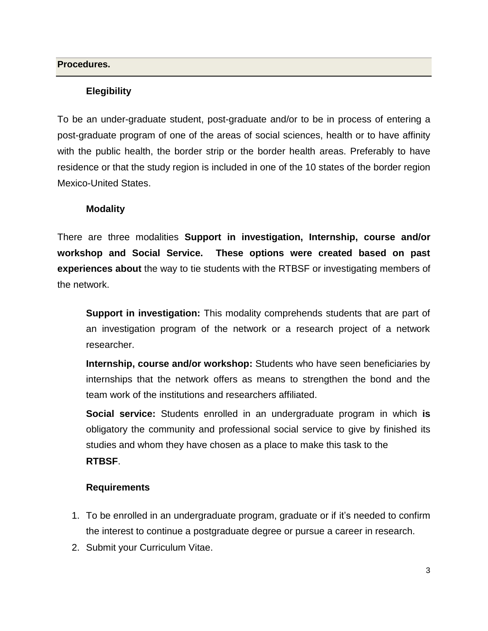#### **Procedures.**

### **Elegibility**

To be an under-graduate student, post-graduate and/or to be in process of entering a post-graduate program of one of the areas of social sciences, health or to have affinity with the public health, the border strip or the border health areas. Preferably to have residence or that the study region is included in one of the 10 states of the border region Mexico-United States.

#### **Modality**

There are three modalities **Support in investigation, Internship, course and/or workshop and Social Service. These options were created based on past experiences about** the way to tie students with the RTBSF or investigating members of the network.

**Support in investigation:** This modality comprehends students that are part of an investigation program of the network or a research project of a network researcher.

**Internship, course and/or workshop:** Students who have seen beneficiaries by internships that the network offers as means to strengthen the bond and the team work of the institutions and researchers affiliated.

**Social service:** Students enrolled in an undergraduate program in which **is**  obligatory the community and professional social service to give by finished its studies and whom they have chosen as a place to make this task to the **RTBSF**.

### **Requirements**

- 1. To be enrolled in an undergraduate program, graduate or if it's needed to confirm the interest to continue a postgraduate degree or pursue a career in research.
- 2. Submit your Curriculum Vitae.